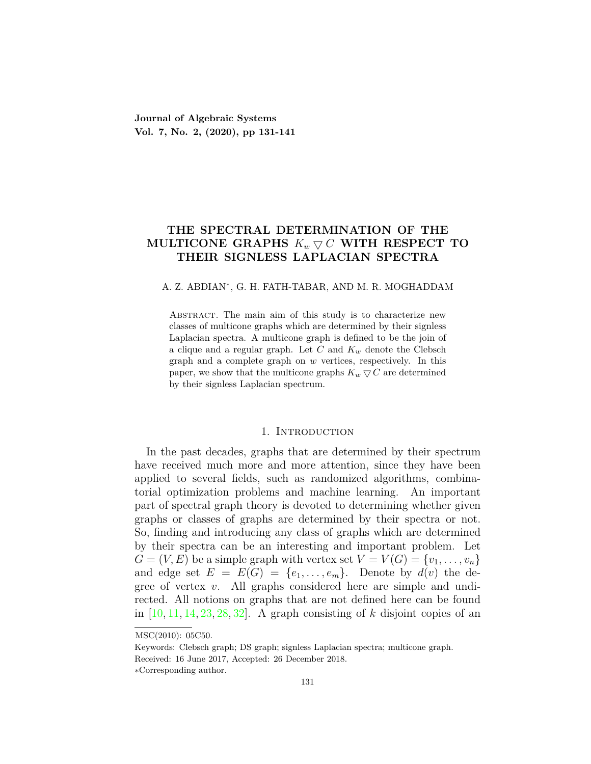**Journal of Algebraic Systems Vol. 7, No. 2, (2020), pp 131-141**

# **THE SPECTRAL DETERMINATION OF THE MULTICONE GRAPHS**  $K_w \nabla C$  **WITH RESPECT TO THEIR SIGNLESS LAPLACIAN SPECTRA**

## A. Z. ABDIAN*<sup>∗</sup>* , G. H. FATH-TABAR, AND M. R. MOGHADDAM

ABSTRACT. The main aim of this study is to characterize new classes of multicone graphs which are determined by their signless Laplacian spectra. A multicone graph is defined to be the join of a clique and a regular graph. Let *C* and *K<sup>w</sup>* denote the Clebsch graph and a complete graph on *w* vertices, respectively. In this paper, we show that the multicone graphs  $K_w \nabla C$  are determined by their signless Laplacian spectrum.

### 1. INTRODUCTION

In the past decades, graphs that are determined by their spectrum have received much more and more attention, since they have been applied to several fields, such as randomized algorithms, combinatorial optimization problems and machine learning. An important part of spectral graph theory is devoted to determining whether given graphs or classes of graphs are determined by their spectra or not. So, finding and introducing any class of graphs which are determined by their spectra can be an interesting and important problem. Let  $G = (V, E)$  be a simple graph with vertex set  $V = V(G) = \{v_1, \ldots, v_n\}$ and edge set  $E = E(G) = \{e_1, \ldots, e_m\}$ . Denote by  $d(v)$  the degree of vertex *v*. All graphs considered here are simple and undirected. All notions on graphs that are not defined here can be found in  $[10, 11, 14, 23, 28, 32]$  $[10, 11, 14, 23, 28, 32]$  $[10, 11, 14, 23, 28, 32]$  $[10, 11, 14, 23, 28, 32]$  $[10, 11, 14, 23, 28, 32]$  $[10, 11, 14, 23, 28, 32]$  $[10, 11, 14, 23, 28, 32]$  $[10, 11, 14, 23, 28, 32]$  $[10, 11, 14, 23, 28, 32]$  $[10, 11, 14, 23, 28, 32]$  $[10, 11, 14, 23, 28, 32]$ . A graph consisting of *k* disjoint copies of an

Received: 16 June 2017, Accepted: 26 December 2018.

MSC(2010): 05C50.

Keywords: Clebsch graph; DS graph; signless Laplacian spectra; multicone graph.

*<sup>∗</sup>*Corresponding author.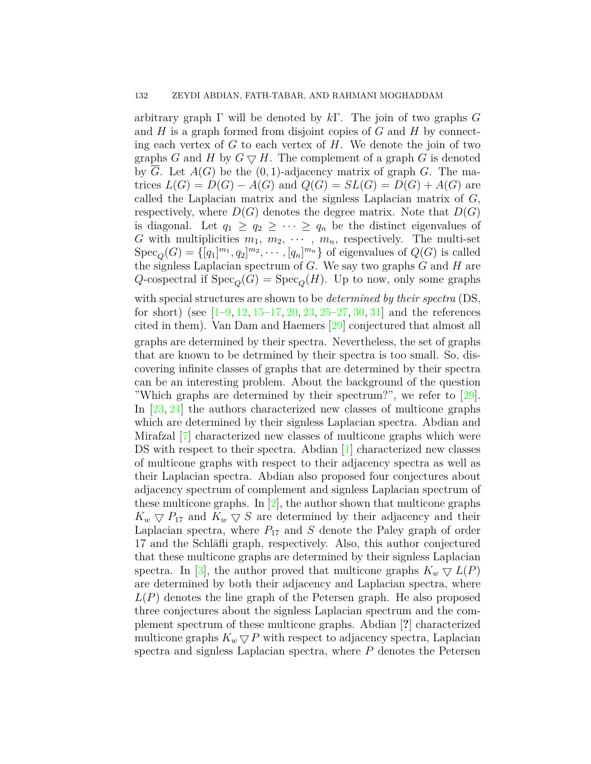arbitrary graph Γ will be denoted by *k*Γ. The join of two graphs *G* and *H* is a graph formed from disjoint copies of *G* and *H* by connecting each vertex of *G* to each vertex of *H*. We denote the join of two graphs *G* and *H* by  $G \nabla H$ . The complement of a graph *G* is denoted by *G*. Let *A*(*G*) be the (0*,* 1)-adjacency matrix of graph *G*. The matrices  $L(G) = D(G) - A(G)$  and  $Q(G) = SL(G) = D(G) + A(G)$  are called the Laplacian matrix and the signless Laplacian matrix of *G*, respectively, where  $D(G)$  denotes the degree matrix. Note that  $D(G)$ is diagonal. Let  $q_1 \geq q_2 \geq \cdots \geq q_n$  be the distinct eigenvalues of *G* with multiplicities  $m_1, m_2, \cdots, m_n$ , respectively. The multi-set  $Spec_Q(G) = \{[q_1]^{m_1}, q_2]^{m_2}, \cdots, [q_n]^{m_n}\}$  of eigenvalues of  $Q(G)$  is called the signless Laplacian spectrum of *G*. We say two graphs *G* and *H* are *Q*-cospectral if  $Spec_Q(G) = Spec_Q(H)$ . Up to now, only some graphs

with special structures are shown to be *determined by their spectra* (DS, forshort) (see  $[1-9, 12, 15-17, 20, 23, 25-27, 30, 31]$  $[1-9, 12, 15-17, 20, 23, 25-27, 30, 31]$  $[1-9, 12, 15-17, 20, 23, 25-27, 30, 31]$  $[1-9, 12, 15-17, 20, 23, 25-27, 30, 31]$  $[1-9, 12, 15-17, 20, 23, 25-27, 30, 31]$  $[1-9, 12, 15-17, 20, 23, 25-27, 30, 31]$  $[1-9, 12, 15-17, 20, 23, 25-27, 30, 31]$  $[1-9, 12, 15-17, 20, 23, 25-27, 30, 31]$  $[1-9, 12, 15-17, 20, 23, 25-27, 30, 31]$  $[1-9, 12, 15-17, 20, 23, 25-27, 30, 31]$  $[1-9, 12, 15-17, 20, 23, 25-27, 30, 31]$  $[1-9, 12, 15-17, 20, 23, 25-27, 30, 31]$  $[1-9, 12, 15-17, 20, 23, 25-27, 30, 31]$  $[1-9, 12, 15-17, 20, 23, 25-27, 30, 31]$  $[1-9, 12, 15-17, 20, 23, 25-27, 30, 31]$  $[1-9, 12, 15-17, 20, 23, 25-27, 30, 31]$  $[1-9, 12, 15-17, 20, 23, 25-27, 30, 31]$  $[1-9, 12, 15-17, 20, 23, 25-27, 30, 31]$  $[1-9, 12, 15-17, 20, 23, 25-27, 30, 31]$  and the references cited in them). Van Dam and Haemers [\[29](#page-10-8)] conjectured that almost all graphs are determined by their spectra. Nevertheless, the set of graphs that are known to be detrmined by their spectra is too small. So, discovering infinite classes of graphs that are determined by their spectra can be an interesting problem. About the background of the question "Which graphs are determined by their spectrum?", we refer to[[29\]](#page-10-8). In [\[23](#page-10-0), [24](#page-10-9)] the authors characterized new classes of multicone graphs which are determined by their signless Laplacian spectra. Abdian and Mirafzal [\[7](#page-9-8)] characterized new classes of multicone graphs which were DS with respect to their spectra. Abdian[[1\]](#page-9-3) characterized new classes of multicone graphs with respect to their adjacency spectra as well as their Laplacian spectra. Abdian also proposed four conjectures about adjacency spectrum of complement and signless Laplacian spectrum of these multicone graphs. In  $[2]$  $[2]$  $[2]$ , the author shown that multicone graphs  $K_w \nabla P_{17}$  and  $K_w \nabla S$  are determined by their adjacency and their Laplacian spectra, where  $P_{17}$  and  $S$  denote the Paley graph of order 17 and the Schläfli graph, respectively. Also, this author conjectured that these multicone graphs are determined by their signless Laplacian spectra. In [\[3\]](#page-9-10), the author proved that multicone graphs  $K_w \nabla L(P)$ are determined by both their adjacency and Laplacian spectra, where *L*(*P*) denotes the line graph of the Petersen graph. He also proposed three conjectures about the signless Laplacian spectrum and the complement spectrum of these multicone graphs. Abdian [**?**] characterized multicone graphs  $K_w \nabla P$  with respect to adjacency spectra, Laplacian spectra and signless Laplacian spectra, where *P* denotes the Petersen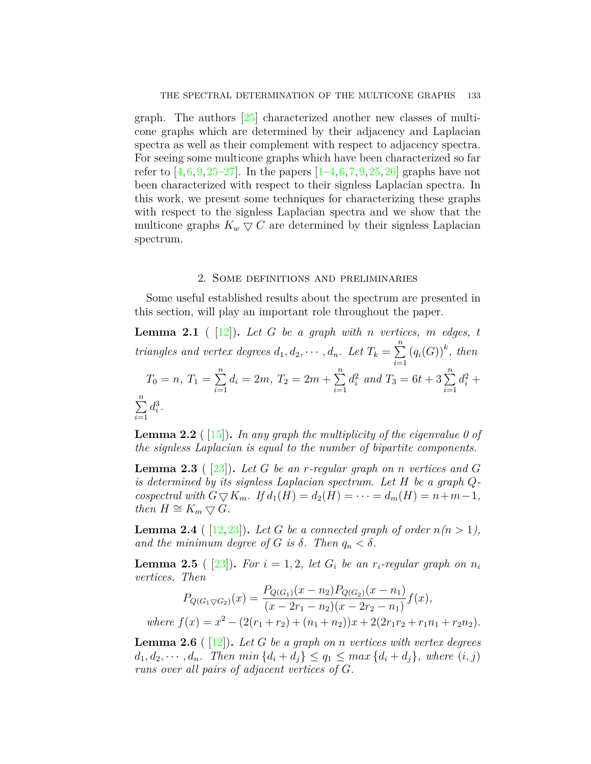graph. The authors [[25](#page-10-4)] characterized another new classes of multicone graphs which are determined by their adjacency and Laplacian spectra as well as their complement with respect to adjacency spectra. For seeing some multicone graphs which have been characterized so far refer to  $[4,6,9,25-27]$  $[4,6,9,25-27]$  $[4,6,9,25-27]$  $[4,6,9,25-27]$  $[4,6,9,25-27]$  $[4,6,9,25-27]$ . In the papers  $[1-4,6,7,9,25,26]$  $[1-4,6,7,9,25,26]$  $[1-4,6,7,9,25,26]$  $[1-4,6,7,9,25,26]$  $[1-4,6,7,9,25,26]$  $[1-4,6,7,9,25,26]$  $[1-4,6,7,9,25,26]$  $[1-4,6,7,9,25,26]$  $[1-4,6,7,9,25,26]$  $[1-4,6,7,9,25,26]$  graphs have not been characterized with respect to their signless Laplacian spectra. In this work, we present some techniques for characterizing these graphs with respect to the signless Laplacian spectra and we show that the multicone graphs  $K_w \nabla C$  are determined by their signless Laplacian spectrum.

## 2. Some definitions and preliminaries

Some useful established results about the spectrum are presented in this section, will play an important role throughout the paper.

<span id="page-2-3"></span>**Lemma 2.1** ( $[12]$  $[12]$ ). Let G be a graph with *n* vertices, *m* edges, *t triangles and vertex degrees*  $d_1, d_2, \cdots, d_n$ *. Let*  $T_k = \sum_{i=1}^n$ *i*=1  $(q_i(G))^k$ , then  $T_0 = n, T_1 = \sum_{n=1}^{n}$ *i*=1  $d_i = 2m, T_2 = 2m + \sum_{i=1}^{n}$ *i*=1  $d_i^2$  *and*  $T_3 = 6t + 3 \sum_{i=1}^n$  $d_i^2 +$ ∑*n i*=1  $d_i^3$ .

**Lemma 2.2** ( [\[15\]](#page-9-6))**.** *In any graph the multiplicity of the eigenvalue 0 of the signless Laplacian is equal to the number of bipartite components.*

<span id="page-2-4"></span>**Lemma 2.3** ( [\[23\]](#page-10-0))**.** *Let G be an r-regular graph on n vertices and G is determined by its signless Laplacian spectrum. Let H be a graph Q* $coseptral$  with  $G \bigtriangledown K_m$ *.* If  $d_1(H) = d_2(H) = \cdots = d_m(H) = n+m-1$ , *then*  $H \cong K_m \nabla G$ *.* 

<span id="page-2-2"></span>**Lemma 2.4** ( $[12, 23]$  $[12, 23]$  $[12, 23]$  $[12, 23]$ ). Let G be a connected graph of order  $n(n > 1)$ , *and the minimum degree of G is*  $\delta$ *. Then*  $q_n < \delta$ *.* 

<span id="page-2-0"></span>**Lemma 2.5** ( [\[23\]](#page-10-0)). For  $i = 1, 2$ , let  $G_i$  be an  $r_i$ -regular graph on  $n_i$ *vertices. Then*

$$
P_{Q(G_1 \bigtriangledown G_2)}(x) = \frac{P_{Q(G_1)}(x - n_2)P_{Q(G_2)}(x - n_1)}{(x - 2r_1 - n_2)(x - 2r_2 - n_1)} f(x),
$$
  
where  $f(x) = x^2 - (2(r_1 + r_2) + (n_1 + n_2))x + 2(2r_1r_2 + r_1n_1 + r_2n_2).$ 

<span id="page-2-1"></span>**Lemma 2.6** ( [\[12\]](#page-9-5))**.** *Let G be a graph on n vertices with vertex degrees*  $d_1, d_2, \dots, d_n$ . Then  $\min\{d_i + d_j\} \leq q_1 \leq \max\{d_i + d_j\}$ , where  $(i, j)$ *runs over all pairs of adjacent vertices of G.*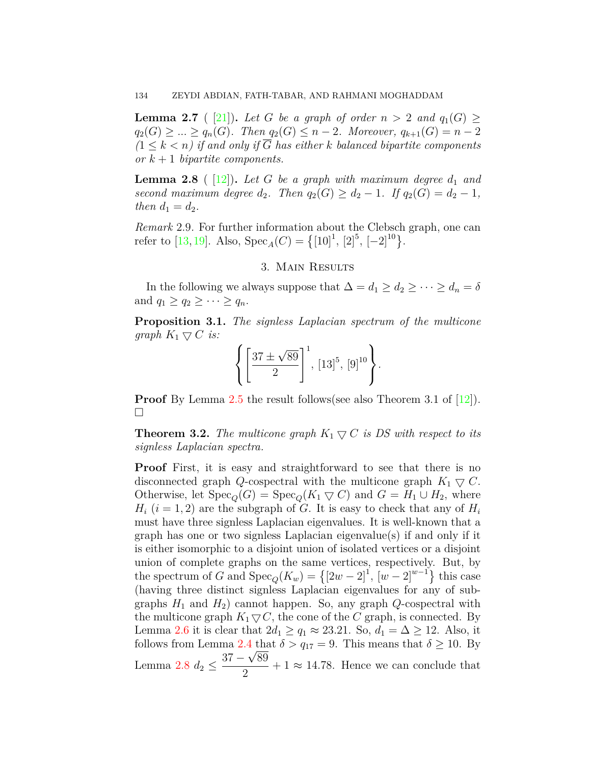<span id="page-3-1"></span>**Lemma 2.7** ( [[21\]](#page-10-11)). Let *G* be a graph of order  $n > 2$  and  $q_1(G) \ge$  $q_2(G)$  ≥  $\ldots$  ≥  $q_n(G)$ *. Then*  $q_2(G)$  ≤ *n* − 2*. Moreover,*  $q_{k+1}(G) = n-2$  $(1 \leq k \leq n)$  *if and only if*  $\overline{G}$  *has either k balanced bipartite components or k* + 1 *bipartite components.*

<span id="page-3-0"></span>**Lemma 2.8** (  $[12]$ ). Let G be a graph with maximum degree  $d_1$  and *second maximum degree*  $d_2$ *. Then*  $q_2(G) \geq d_2 - 1$ *. If*  $q_2(G) = d_2 - 1$ *, then*  $d_1 = d_2$ *.* 

*Remark* 2.9*.* For further information about the Clebsch graph, one can refer to [\[13,](#page-9-13) [19](#page-10-12)]. Also,  $Spec_A(C) = \{(10)^1, [2]^5, [-2]^{10}\}.$ 

## 3. Main Results

In the following we always suppose that  $\Delta = d_1 \geq d_2 \geq \cdots \geq d_n = \delta$ and  $q_1 \geq q_2 \geq \cdots \geq q_n$ .

**Proposition 3.1.** *The signless Laplacian spectrum of the multicone graph*  $K_1 \nabla C$  *is:* 

$$
\left\{ \left[ \frac{37 \pm \sqrt{89}}{2} \right]^{1}, [13]^{5}, [9]^{10} \right\}.
$$

**Proof** By Lemma [2.5](#page-2-0) the result follows(see also Theorem 3.1 of  $|12|$ ). □

<span id="page-3-2"></span>**Theorem 3.2.** *The multicone graph*  $K_1 \nabla C$  *is DS with respect to its signless Laplacian spectra.*

**Proof** First, it is easy and straightforward to see that there is no disconnected graph *Q*-cospectral with the multicone graph  $K_1 \nabla C$ . Otherwise, let  $Spec_{\mathcal{O}}(G) = Spec_{\mathcal{O}}(K_1 \nabla C)$  and  $G = H_1 \cup H_2$ , where  $H_i$  ( $i = 1, 2$ ) are the subgraph of *G*. It is easy to check that any of  $H_i$ must have three signless Laplacian eigenvalues. It is well-known that a graph has one or two signless Laplacian eigenvalue(s) if and only if it is either isomorphic to a disjoint union of isolated vertices or a disjoint union of complete graphs on the same vertices, respectively. But, by the spectrum of *G* and  $Spec_Q(K_w) = \{ [2w - 2]^1, [w - 2]^{w-1} \}$  this case (having three distinct signless Laplacian eigenvalues for any of subgraphs  $H_1$  and  $H_2$ ) cannot happen. So, any graph  $Q$ -cospectral with the multicone graph  $K_1 \nabla C$ , the cone of the *C* graph, is connected. By Lemma [2.6](#page-2-1) it is clear that  $2d_1 \ge q_1 \approx 23.21$ . So,  $d_1 = \Delta \ge 12$ . Also, it follows from Lemma [2.4](#page-2-2) that  $\delta > q_{17} = 9$ . This means that  $\delta \ge 10$ . By Lemma [2.8](#page-3-0)  $d_2 \leq \frac{37 - \sqrt{89}}{2}$  $\frac{\sqrt{66}}{2} + 1 \approx 14.78$ . Hence we can conclude that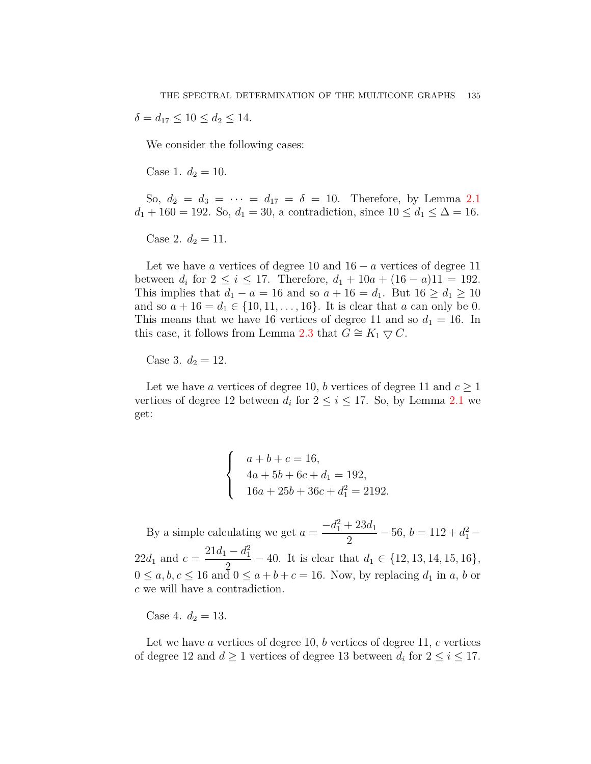$\delta = d_{17} \leq 10 \leq d_2 \leq 14.$ 

We consider the following cases:

Case 1.  $d_2 = 10$ .

So,  $d_2 = d_3 = \cdots = d_{17} = \delta = 10$ . Therefore, by Lemma [2.1](#page-2-3)  $d_1 + 160 = 192$ . So,  $d_1 = 30$ , a contradiction, since  $10 \le d_1 \le \Delta = 16$ .

Case 2.  $d_2 = 11$ .

Let we have *a* vertices of degree 10 and 16 *− a* vertices of degree 11 between  $d_i$  for  $2 \le i \le 17$ . Therefore,  $d_1 + 10a + (16 - a)11 = 192$ . This implies that  $d_1 - a = 16$  and so  $a + 16 = d_1$ . But  $16 \geq d_1 \geq 10$ and so  $a + 16 = d_1 \in \{10, 11, \ldots, 16\}$ . It is clear that *a* can only be 0. This means that we have 16 vertices of degree 11 and so  $d_1 = 16$ . In this case, it follows from Lemma [2.3](#page-2-4) that  $G \cong K_1 \nabla C$ .

Case 3.  $d_2 = 12$ .

Let we have *a* vertices of degree 10, *b* vertices of degree 11 and  $c \geq 1$ vertices of degree 12 between  $d_i$  for  $2 \leq i \leq 17$ . So, by Lemma [2.1](#page-2-3) we get:

> $\sqrt{ }$  $\int$  $\overline{a}$  $a + b + c = 16$ ,  $4a + 5b + 6c + d_1 = 192,$  $16a + 25b + 36c + d_1^2 = 2192.$

By a simple calculating we get  $a = \frac{-d_1^2 + 23d_1}{2}$  $\frac{1}{2}$  - 56, *b* = 112 +  $d_1^2$  - $22d_1$  and  $c = \frac{21d_1 - d_1^2}{2}$  $\frac{a_1}{2} - 40$ . It is clear that  $d_1 \in \{12, 13, 14, 15, 16\}$ ,  $0 \leq a, b, c \leq 16$  and  $0 \leq a + b + c = 16$ . Now, by replacing  $d_1$  in  $a, b$  or *c* we will have a contradiction.

Case 4.  $d_2 = 13$ .

Let we have *a* vertices of degree 10, *b* vertices of degree 11, *c* vertices of degree 12 and  $d \geq 1$  vertices of degree 13 between  $d_i$  for  $2 \leq i \leq 17$ .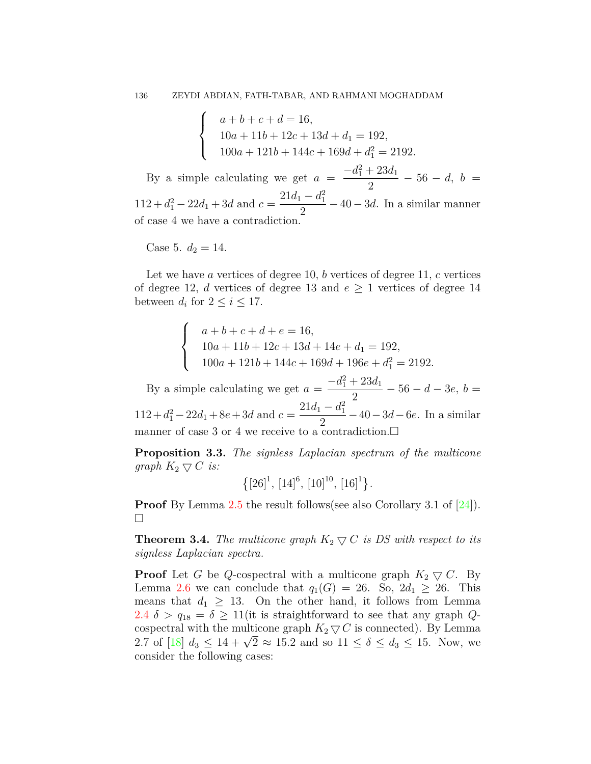$$
\begin{cases}\n a+b+c+d = 16, \\
 10a+11b+12c+13d+d_1 = 192, \\
 100a+121b+144c+169d+d_1^2 = 2192.\n\end{cases}
$$

By a simple calculating we get  $a = \frac{-d_1^2 + 23d_1}{2}$  $\frac{1}{2}$  - 56 - *d*, *b* =  $112 + d_1^2 - 22d_1 + 3d$  and  $c = \frac{21d_1 - d_1^2}{2}$  $\frac{a_1}{2} - 40 - 3d$ . In a similar manner of case 4 we have a contradiction.

Case 5.  $d_2 = 14$ .

Let we have *a* vertices of degree 10, *b* vertices of degree 11, *c* vertices of degree 12, *d* vertices of degree 13 and  $e \geq 1$  vertices of degree 14 between  $d_i$  for  $2 \leq i \leq 17$ .

$$
\begin{cases}\n a+b+c+d+e = 16, \\
 10a+11b+12c+13d+14e+d_1 = 192, \\
 100a+121b+144c+169d+196e+d_1^2 = 2192.\n\end{cases}
$$

By a simple calculating we get  $a = \frac{-d_1^2 + 23d_1}{2}$  $\frac{1}{2}$  - 56 - *d* - 3*e*, *b* =  $112 + d_1^2 - 22d_1 + 8e + 3d$  and  $c = \frac{21d_1 - d_1^2}{2}$ 2 *−*40*−*3*d−*6*e*. In a similar manner of case 3 or 4 we receive to a contradiction. $\square$ 

**Proposition 3.3.** *The signless Laplacian spectrum of the multicone graph*  $K_2 \nabla C$  *is:* 

$$
\left\{[26]^1, [14]^6, [10]^{10}, [16]^1\right\}.
$$

**Proof** By Lemma [2.5](#page-2-0) the result follows(see also Corollary 3.1 of [\[24](#page-10-9)]). □

<span id="page-5-0"></span>**Theorem 3.4.** *The multicone graph*  $K_2 \nabla C$  *is DS with respect to its signless Laplacian spectra.*

**Proof** Let *G* be *Q*-cospectral with a multicone graph  $K_2 \nabla C$ . By Lemma [2.6](#page-2-1) we can conclude that  $q_1(G) = 26$ . So,  $2d_1 \geq 26$ . This means that  $d_1 \geq 13$ . On the other hand, it follows from Lemma [2.4](#page-2-2)  $\delta > q_{18} = \delta \geq 11$  (it is straightforward to see that any graph *Q*cospectral with the multicone graph  $K_2 \nabla C$  is connected). By Lemma  $2.7$  of [\[18\]](#page-9-14)  $d_3 \leq 14 + \sqrt{2} \approx 15.2$  and so  $11 \leq \delta \leq d_3 \leq 15$ . Now, we consider the following cases: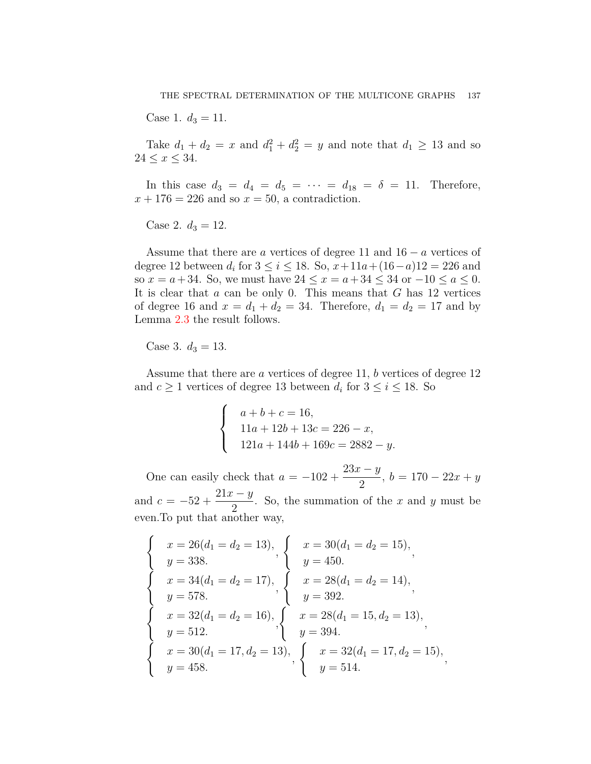Case 1.  $d_3 = 11$ .

Take  $d_1 + d_2 = x$  and  $d_1^2 + d_2^2 = y$  and note that  $d_1 \ge 13$  and so  $24 \le x \le 34$ .

In this case  $d_3 = d_4 = d_5 = \cdots = d_{18} = \delta = 11$ . Therefore,  $x + 176 = 226$  and so  $x = 50$ , a contradiction.

Case 2.  $d_3 = 12$ .

Assume that there are *a* vertices of degree 11 and 16 *− a* vertices of degree 12 between  $d_i$  for  $3 \le i \le 18$ . So,  $x+11a+(16-a)12 = 226$  and so  $x = a + 34$ . So, we must have  $24 \le x = a + 34 \le 34$  or  $-10 \le a \le 0$ . It is clear that *a* can be only 0. This means that *G* has 12 vertices of degree 16 and  $x = d_1 + d_2 = 34$ . Therefore,  $d_1 = d_2 = 17$  and by Lemma [2.3](#page-2-4) the result follows.

Case 3.  $d_3 = 13$ .

 $\ddot{\phantom{0}}$ 

Assume that there are *a* vertices of degree 11, *b* vertices of degree 12 and  $c \geq 1$  vertices of degree 13 between  $d_i$  for  $3 \leq i \leq 18$ . So

$$
\begin{cases}\n a+b+c=16, \\
 11a+12b+13c=226-x, \\
 121a+144b+169c=2882-y.\n\end{cases}
$$

One can easily check that  $a = -102 + \frac{23x - y}{2}$  $\frac{y}{2}$ , *b* = 170 – 22*x* + *y* and  $c = -52 + \frac{21x - y}{2}$ 2 . So, the summation of the *x* and *y* must be even.To put that another way,

$$
\begin{cases}\nx = 26(d_1 = d_2 = 13), \\
y = 338.\n\end{cases}, \n\begin{cases}\nx = 30(d_1 = d_2 = 15), \\
y = 450.\n\end{cases},
$$
\n
$$
\begin{cases}\nx = 34(d_1 = d_2 = 17), \\
y = 578.\n\end{cases}, \n\begin{cases}\nx = 28(d_1 = d_2 = 14), \\
y = 392.\n\end{cases},
$$
\n
$$
\begin{cases}\nx = 32(d_1 = d_2 = 16), \\
y = 512.\n\end{cases}, \n\begin{cases}\nx = 28(d_1 = 15, d_2 = 13), \\
y = 394.\n\end{cases},
$$
\n
$$
\begin{cases}\nx = 30(d_1 = 17, d_2 = 13), \\
y = 458.\n\end{cases}, \n\begin{cases}\nx = 32(d_1 = 17, d_2 = 15), \\
y = 514.\n\end{cases}
$$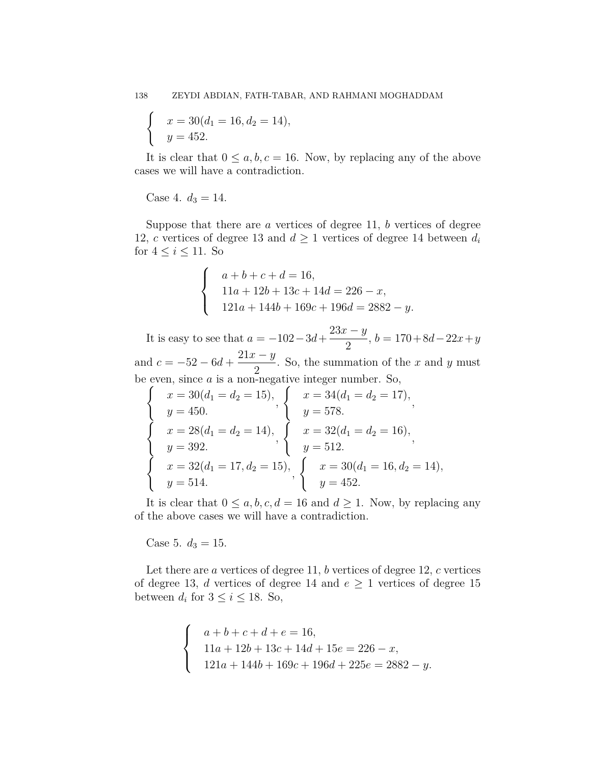$$
\begin{cases}\nx = 30(d_1 = 16, d_2 = 14), \\
y = 452.\n\end{cases}
$$

It is clear that  $0 \le a, b, c = 16$ . Now, by replacing any of the above cases we will have a contradiction.

# Case 4.  $d_3 = 14$ .

Suppose that there are *a* vertices of degree 11, *b* vertices of degree 12, *c* vertices of degree 13 and  $d \geq 1$  vertices of degree 14 between  $d_i$ for  $4 \leq i \leq 11$ . So

$$
\begin{cases}\n a+b+c+d = 16, \\
 11a+12b+13c+14d = 226 - x, \\
 121a+144b+169c+196d = 2882 - y.\n\end{cases}
$$

It is easy to see that  $a = -102 - 3d + \frac{23x - y}{2}$  $\frac{y}{2}$ , *b* = 170 + 8*d* − 22*x* + *y* and  $c = -52 - 6d + \frac{21x - y}{2}$ 2 . So, the summation of the *x* and *y* must be even, since *a* is a non-negative integer number. So,

$$
\begin{cases}\nx = 30(d_1 = d_2 = 15), \\
y = 450. \\
x = 28(d_1 = d_2 = 14), \\
y = 392. \\
x = 32(d_1 = 17, d_2 = 15), \\
y = 514.\n\end{cases},\n\begin{cases}\nx = 34(d_1 = d_2 = 17), \\
y = 578. \\
x = 32(d_1 = d_2 = 16), \\
y = 512.\n\end{cases},\n\begin{cases}\nx = 30(d_1 = 16, d_2 = 14), \\
y = 452.\n\end{cases}
$$

It is clear that  $0 \leq a, b, c, d = 16$  and  $d \geq 1$ . Now, by replacing any of the above cases we will have a contradiction.

Case 5.  $d_3 = 15$ .

Let there are *a* vertices of degree 11, *b* vertices of degree 12, *c* vertices of degree 13, *d* vertices of degree 14 and  $e \geq 1$  vertices of degree 15 between  $d_i$  for  $3 \leq i \leq 18$ . So,

$$
\begin{cases}\n a+b+c+d+e = 16, \\
 11a+12b+13c+14d+15e = 226 - x, \\
 121a+144b+169c+196d+225e = 2882 - y.\n\end{cases}
$$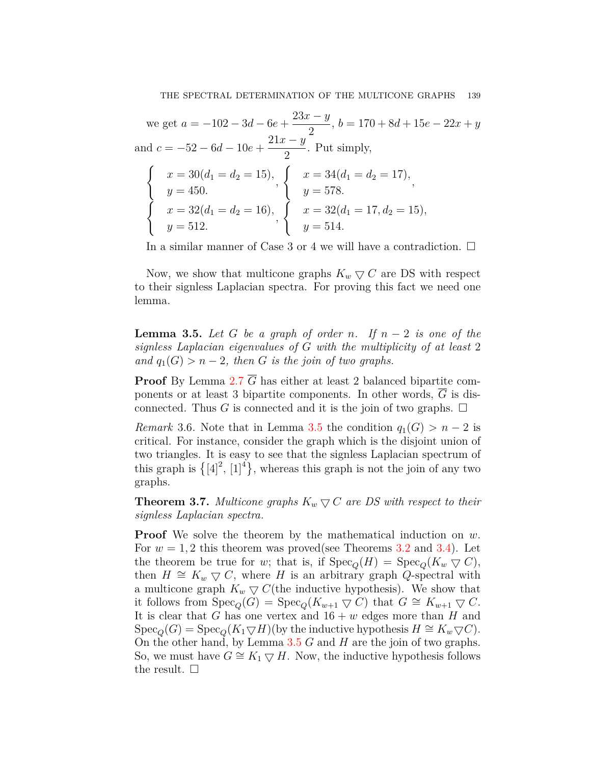we get  $a = -102 - 3d - 6e + \frac{23x - y}{2}$  $\frac{y}{2}$ , *b* = 170 + 8*d* + 15*e* - 22*x* + *y* and  $c = -52 - 6d - 10e + \frac{21x - y}{2}$ 2 . Put simply,

$$
\begin{cases}\nx = 30(d_1 = d_2 = 15), \\
y = 450. \\
x = 32(d_1 = d_2 = 16), \\
y = 512.\n\end{cases},\n\begin{cases}\nx = 34(d_1 = d_2 = 17), \\
y = 578.\n\end{cases},\n\begin{cases}\nx = 32(d_1 = 17, d_2 = 15), \\
y = 514.\n\end{cases}
$$

In a similar manner of Case 3 or 4 we will have a contradiction.  $\square$ 

Now, we show that multicone graphs  $K_w \nabla C$  are DS with respect to their signless Laplacian spectra. For proving this fact we need one lemma.

<span id="page-8-0"></span>**Lemma 3.5.** *Let*  $G$  *be a graph of order*  $n$ *. If*  $n-2$  *is one of the signless Laplacian eigenvalues of G with the multiplicity of at least* 2 *and*  $q_1(G) > n-2$ *, then G is the join of two graphs.* 

**Proof** By Lemma [2.7](#page-3-1)  $\overline{G}$  has either at least 2 balanced bipartite components or at least 3 bipartite components. In other words, *G* is disconnected. Thus *G* is connected and it is the join of two graphs.  $\Box$ 

*Remark* 3.6. Note that in Lemma [3.5](#page-8-0) the condition  $q_1(G) > n-2$  is critical. For instance, consider the graph which is the disjoint union of two triangles. It is easy to see that the signless Laplacian spectrum of this graph is  $\{[4]^2, [1]^4\}$ , whereas this graph is not the join of any two graphs.

**Theorem 3.7.** *Multicone graphs*  $K_w \nabla C$  *are DS with respect to their signless Laplacian spectra.*

**Proof** We solve the theorem by the mathematical induction on *w*. For  $w = 1, 2$  this theorem was proved(see Theorems  $3.2$  and  $3.4$ ). Let the theorem be true for *w*; that is, if  $Spec_{\mathcal{O}}(H) = Spec_{\mathcal{O}}(K_w \nabla C)$ , then  $H \cong K_w \nabla C$ , where *H* is an arbitrary graph *Q*-spectral with a multicone graph  $K_w \nabla C$  (the inductive hypothesis). We show that it follows from  $Spec_{\mathcal{O}}(G) = Spec_{\mathcal{O}}(K_{w+1} \nabla C)$  that  $G \cong K_{w+1} \nabla C$ . It is clear that *G* has one vertex and  $16 + w$  edges more than *H* and  $Spec_{\mathcal{O}}(G) = Spec_{\mathcal{O}}(K_1 \nabla H)$ (by the inductive hypothesis  $H \cong K_w \nabla C$ ). On the other hand, by Lemma [3.5](#page-8-0) *G* and *H* are the join of two graphs. So, we must have  $G \cong K_1 \nabla H$ . Now, the inductive hypothesis follows the result.  $\square$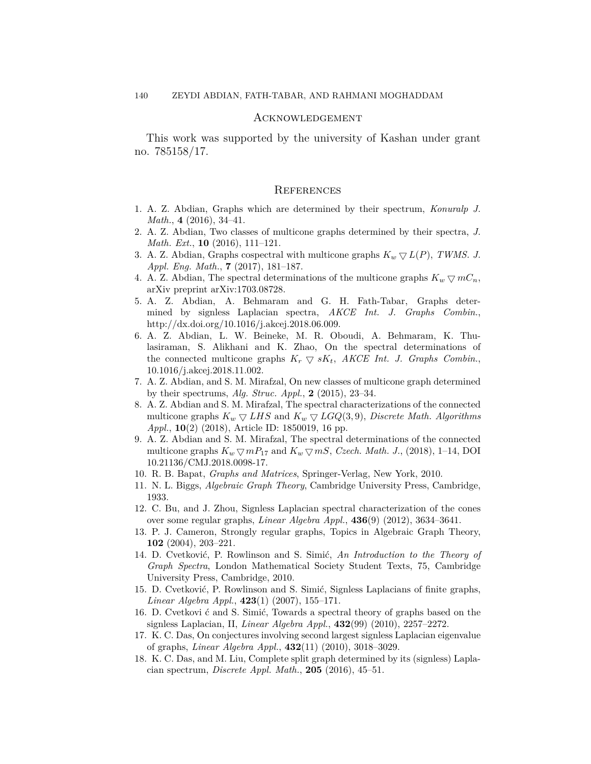#### Acknowledgement

This work was supported by the university of Kashan under grant no. 785158/17.

### **REFERENCES**

- <span id="page-9-3"></span>1. A. Z. Abdian, Graphs which are determined by their spectrum, *Konuralp J. Math.*, **4** (2016), 34–41.
- <span id="page-9-9"></span>2. A. Z. Abdian, Two classes of multicone graphs determined by their spectra, *J. Math. Ext.*, **10** (2016), 111–121.
- <span id="page-9-10"></span>3. A. Z. Abdian, Graphs cospectral with multicone graphs  $K_w \nabla L(P)$ , TWMS. J. *Appl. Eng. Math.*, **7** (2017), 181–187.
- <span id="page-9-11"></span>4. A. Z. Abdian, The spectral determinations of the multicone graphs  $K_w \nabla mC_n$ , arXiv preprint arXiv:1703.08728.
- 5. A. Z. Abdian, A. Behmaram and G. H. Fath-Tabar, Graphs determined by signless Laplacian spectra, *AKCE Int. J. Graphs Combin.*, http://dx.doi.org/10.1016/j.akcej.2018.06.009.
- <span id="page-9-12"></span>6. A. Z. Abdian, L. W. Beineke, M. R. Oboudi, A. Behmaram, K. Thulasiraman, S. Alikhani and K. Zhao, On the spectral determinations of the connected multicone graphs  $K_r \nabla sK_t$ , *AKCE Int. J. Graphs Combin.*, 10.1016/j.akcej.2018.11.002.
- <span id="page-9-8"></span>7. A. Z. Abdian, and S. M. Mirafzal, On new classes of multicone graph determined by their spectrums, *Alg. Struc. Appl.*, **2** (2015), 23–34.
- 8. A. Z. Abdian and S. M. Mirafzal, The spectral characterizations of the connected multicone graphs  $K_w \nabla LHS$  and  $K_w \nabla LGQ(3,9)$ , *Discrete Math. Algorithms Appl.*, **10**(2) (2018), Article ID: 1850019, 16 pp.
- <span id="page-9-4"></span>9. A. Z. Abdian and S. M. Mirafzal, The spectral determinations of the connected multicone graphs  $K_w \nabla mP_{17}$  and  $K_w \nabla mS$ , *Czech. Math. J.*, (2018), 1–14, DOI 10.21136/CMJ.2018.0098-17.
- <span id="page-9-0"></span>10. R. B. Bapat, *Graphs and Matrices*, Springer-Verlag, New York, 2010.
- <span id="page-9-1"></span>11. N. L. Biggs, *Algebraic Graph Theory*, Cambridge University Press, Cambridge, 1933.
- <span id="page-9-5"></span>12. C. Bu, and J. Zhou, Signless Laplacian spectral characterization of the cones over some regular graphs, *Linear Algebra Appl.*, **436**(9) (2012), 3634–3641.
- <span id="page-9-13"></span>13. P. J. Cameron, Strongly regular graphs, Topics in Algebraic Graph Theory, **102** (2004), 203–221.
- <span id="page-9-2"></span>14. D. Cvetković, P. Rowlinson and S. Simić, *An Introduction to the Theory of Graph Spectra*, London Mathematical Society Student Texts, 75, Cambridge University Press, Cambridge, 2010.
- <span id="page-9-6"></span>15. D. Cvetković, P. Rowlinson and S. Simić, Signless Laplacians of finite graphs, *Linear Algebra Appl.*, **423**(1) (2007), 155–171.
- 16. D. Cvetkovi ć and S. Simić, Towards a spectral theory of graphs based on the signless Laplacian, II, *Linear Algebra Appl.*, **432**(99) (2010), 2257–2272.
- <span id="page-9-7"></span>17. K. C. Das, On conjectures involving second largest signless Laplacian eigenvalue of graphs, *Linear Algebra Appl.*, **432**(11) (2010), 3018–3029.
- <span id="page-9-14"></span>18. K. C. Das, and M. Liu, Complete split graph determined by its (signless) Laplacian spectrum, *Discrete Appl. Math.*, **205** (2016), 45–51.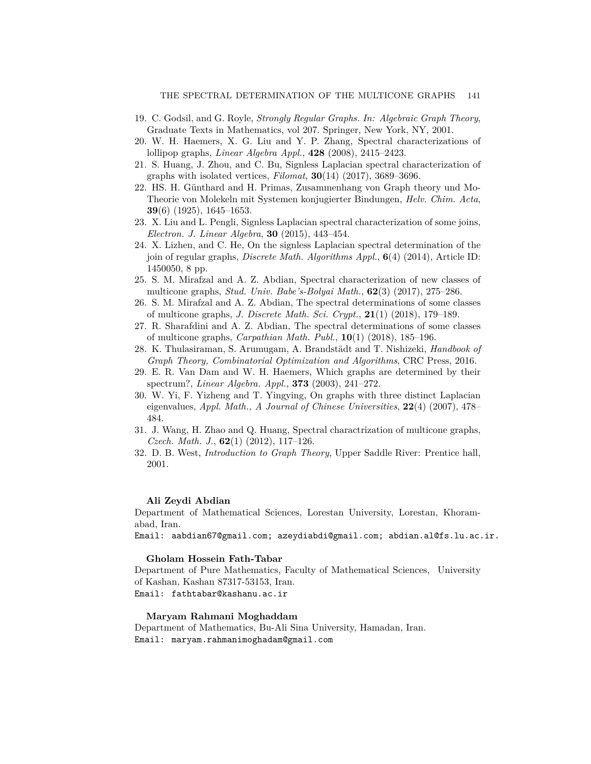- <span id="page-10-12"></span>19. C. Godsil, and G. Royle, *Strongly Regular Graphs. In: Algebraic Graph Theory*, Graduate Texts in Mathematics, vol 207. Springer, New York, NY, 2001.
- <span id="page-10-3"></span>20. W. H. Haemers, X. G. Liu and Y. P. Zhang, Spectral characterizations of lollipop graphs, *Linear Algebra Appl.*, **428** (2008), 2415–2423.
- <span id="page-10-11"></span>21. S. Huang, J. Zhou, and C. Bu, Signless Laplacian spectral characterization of graphs with isolated vertices, *Filomat*, **30**(14) (2017), 3689–3696.
- 22. HS. H. Günthard and H. Primas, Zusammenhang von Graph theory und Mo-Theorie von Molekeln mit Systemen konjugierter Bindungen, *Helv. Chim. Acta*, **39**(6) (1925), 1645–1653.
- <span id="page-10-0"></span>23. X. Liu and L. Pengli, Signless Laplacian spectral characterization of some joins, *Electron. J. Linear Algebra*, **30** (2015), 443–454.
- <span id="page-10-9"></span>24. X. Lizhen, and C. He, On the signless Laplacian spectral determination of the join of regular graphs, *Discrete Math. Algorithms Appl.*, **6**(4) (2014), Article ID: 1450050, 8 pp.
- <span id="page-10-4"></span>25. S. M. Mirafzal and A. Z. Abdian, Spectral characterization of new classes of multicone graphs, *Stud. Univ. Babe's-Bolyai Math.*, **62**(3) (2017), 275–286.
- <span id="page-10-10"></span>26. S. M. Mirafzal and A. Z. Abdian, The spectral determinations of some classes of multicone graphs, *J. Discrete Math. Sci. Crypt.*, **21**(1) (2018), 179–189.
- <span id="page-10-5"></span>27. R. Sharafdini and A. Z. Abdian, The spectral determinations of some classes of multicone graphs, *Carpathian Math. Publ.*, **10**(1) (2018), 185–196.
- <span id="page-10-1"></span>28. K. Thulasiraman, S. Arumugam, A. Brandstädt and T. Nishizeki, *Handbook of Graph Theory, Combinatorial Optimization and Algorithms*, CRC Press, 2016.
- <span id="page-10-8"></span>29. E. R. Van Dam and W. H. Haemers, Which graphs are determined by their spectrum?, *Linear Algebra. Appl.*, **373** (2003), 241–272.
- <span id="page-10-6"></span>30. W. Yi, F. Yizheng and T. Yingying, On graphs with three distinct Laplacian eigenvalues, *Appl. Math., A Journal of Chinese Universities*, **22**(4) (2007), 478– 484.
- <span id="page-10-7"></span>31. J. Wang, H. Zhao and Q. Huang, Spectral charactrization of multicone graphs, *Czech. Math. J.*, **62**(1) (2012), 117–126.
- <span id="page-10-2"></span>32. D. B. West, *Introduction to Graph Theory*, Upper Saddle River: Prentice hall, 2001.

#### **Ali Zeydi Abdian**

Department of Mathematical Sciences, Lorestan University, Lorestan, Khoramabad, Iran.

Email: aabdian67@gmail.com; azeydiabdi@gmail.com; abdian.al@fs.lu.ac.ir.

#### **Gholam Hossein Fath-Tabar**

Department of Pure Mathematics, Faculty of Mathematical Sciences, University of Kashan, Kashan 87317-53153, Iran. Email: fathtabar@kashanu.ac.ir

### **Maryam Rahmani Moghaddam**

Department of Mathematics, Bu-Ali Sina University, Hamadan, Iran. Email: maryam.rahmanimoghadam@gmail.com